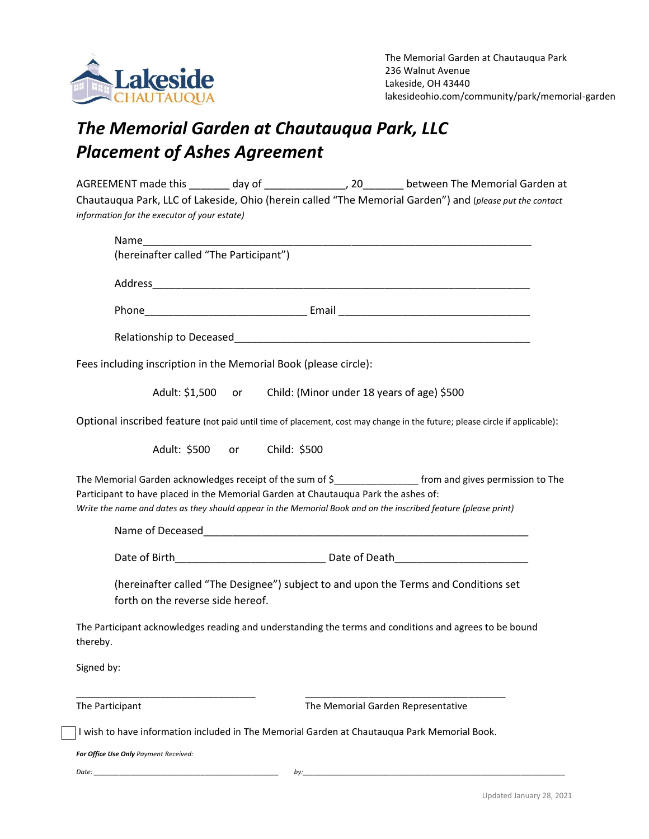

## *The Memorial Garden at Chautauqua Park, LLC Placement of Ashes Agreement*

| AGREEMENT made this                          | dav of | . 20 | between The Memorial Garden at                                                                           |
|----------------------------------------------|--------|------|----------------------------------------------------------------------------------------------------------|
|                                              |        |      | Chautauqua Park, LLC of Lakeside, Ohio (herein called "The Memorial Garden") and (please put the contact |
| information for the executor of your estate) |        |      |                                                                                                          |

| Name                                                                                                                                                                                                                                                                                                                   |
|------------------------------------------------------------------------------------------------------------------------------------------------------------------------------------------------------------------------------------------------------------------------------------------------------------------------|
| (hereinafter called "The Participant")                                                                                                                                                                                                                                                                                 |
|                                                                                                                                                                                                                                                                                                                        |
|                                                                                                                                                                                                                                                                                                                        |
| Relationship to Deceased and the contract of the contract of the contract of the contract of the contract of the contract of the contract of the contract of the contract of the contract of the contract of the contract of t                                                                                         |
| Fees including inscription in the Memorial Book (please circle):                                                                                                                                                                                                                                                       |
| Adult: \$1,500 or Child: (Minor under 18 years of age) \$500                                                                                                                                                                                                                                                           |
| Optional inscribed feature (not paid until time of placement, cost may change in the future; please circle if applicable):                                                                                                                                                                                             |
| Adult: \$500 or<br>Child: \$500                                                                                                                                                                                                                                                                                        |
| The Memorial Garden acknowledges receipt of the sum of \$___________________ from and gives permission to The<br>Participant to have placed in the Memorial Garden at Chautauqua Park the ashes of:<br>Write the name and dates as they should appear in the Memorial Book and on the inscribed feature (please print) |
|                                                                                                                                                                                                                                                                                                                        |
|                                                                                                                                                                                                                                                                                                                        |
| (hereinafter called "The Designee") subject to and upon the Terms and Conditions set<br>forth on the reverse side hereof.                                                                                                                                                                                              |
| The Participant acknowledges reading and understanding the terms and conditions and agrees to be bound<br>thereby.                                                                                                                                                                                                     |
| Signed by:                                                                                                                                                                                                                                                                                                             |
| The Memorial Garden Representative<br>The Participant                                                                                                                                                                                                                                                                  |
| I wish to have information included in The Memorial Garden at Chautauqua Park Memorial Book.                                                                                                                                                                                                                           |
| For Office Use Only Payment Received:                                                                                                                                                                                                                                                                                  |

*Date: \_\_\_\_\_\_\_\_\_\_\_\_\_\_\_\_\_\_\_\_\_\_\_\_\_\_\_\_\_\_\_\_\_\_\_\_\_\_\_\_\_\_\_\_\_\_\_\_\_\_ by:\_\_\_\_\_\_\_\_\_\_\_\_\_\_\_\_\_\_\_\_\_\_\_\_\_\_\_\_\_\_\_\_\_\_\_\_\_\_\_\_\_\_\_\_\_\_\_\_\_\_\_\_\_\_\_\_\_\_\_\_\_\_\_\_\_\_\_\_\_\_\_*